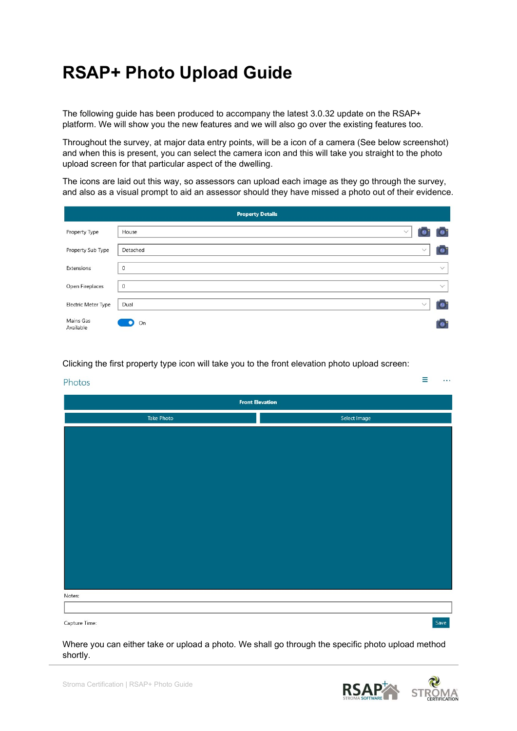## RSAP+ Photo Upload Guide

The following guide has been produced to accompany the latest 3.0.32 update on the RSAP+ platform. We will show you the new features and we will also go over the existing features too.

Throughout the survey, at major data entry points, will be a icon of a camera (See below screenshot) and when this is present, you can select the camera icon and this will take you straight to the photo upload screen for that particular aspect of the dwelling.

The icons are laid out this way, so assessors can upload each image as they go through the survey, and also as a visual prompt to aid an assessor should they have missed a photo out of their evidence.

|                        | <b>Property Details</b> |              |              |
|------------------------|-------------------------|--------------|--------------|
| Property Type          | $\checkmark$<br>House   |              | $\mathbf{O}$ |
| Property Sub Type      | Detached                | $\checkmark$ | $\bullet$    |
| Extensions             | $\mathbf{0}$            |              | $\checkmark$ |
| Open Fireplaces        | $\circ$                 |              | $\checkmark$ |
| Electric Meter Type    | Dual                    | $\checkmark$ | $\bullet$    |
| Mains Gas<br>Available | О<br>On                 |              | $\Omega$     |

Clicking the first property type icon will take you to the front elevation photo upload screen:

## Photos **Front Elevation** Select Image Take Photo Notes: Save Capture Time:

Where you can either take or upload a photo. We shall go through the specific photo upload method shortly.



Ξ

 $\ddotsc$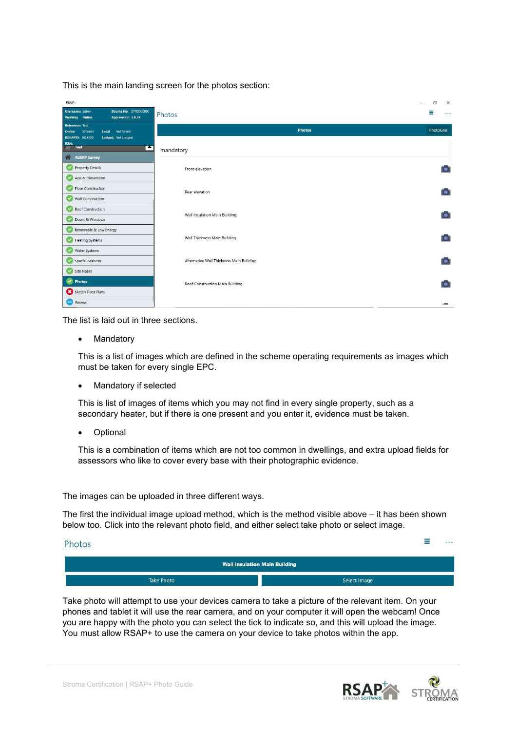This is the main landing screen for the photos section:

| RSAP+<br>Stroma No: STRO000000<br>Username: admin<br>App version 3.0.28<br><b>Working</b> Online | Photos                                   | $\times$<br>$\Box$<br>Ξ<br>$\cdots$ |
|--------------------------------------------------------------------------------------------------|------------------------------------------|-------------------------------------|
| Reference: Test<br>Local Not Saved<br>Different<br>Online                                        | <b>Photos</b>                            | PhotoGrid                           |
| <b>RDSAPID: 5024129</b><br>Lodged: Not Lodged<br><b>RRN:</b><br>Test<br>E<br>$\sqrt{7}$          | mandatory                                |                                     |
| 备<br><b>RdSAP Survey</b><br>×<br>Property Details<br>Age & Dimensions                            | Front elevation                          | io.                                 |
| Floor Construction<br>$\checkmark$<br>Wall Construction<br>$\checkmark$                          | Rear elevation                           | $\bullet$                           |
| Roof Construction<br>✔<br>Doors & Windows<br>$\checkmark$                                        | Wall Insulation Main Building            | $\bullet$                           |
| Renewable & Low Energy<br>✓<br><b>Heating Systems</b><br>$\checkmark$                            | Wall Thickness Main Building             | O.                                  |
| Water Systems<br>$\checkmark$<br>$\overline{\mathbf{v}}$<br>Special Features                     | Alternative Wall Thickness Main Building | <b>O</b>                            |
| Site Notes<br>$\checkmark$<br><b>Photos</b>                                                      | Roof Construction Main Building          | <b>O</b>                            |
| Sketch Floor Plans<br>e<br>Review                                                                |                                          |                                     |

The list is laid out in three sections.

Mandatory

This is a list of images which are defined in the scheme operating requirements as images which must be taken for every single EPC.

• Mandatory if selected

This is list of images of items which you may not find in every single property, such as a secondary heater, but if there is one present and you enter it, evidence must be taken.

Optional

This is a combination of items which are not too common in dwellings, and extra upload fields for assessors who like to cover every base with their photographic evidence.

The images can be uploaded in three different ways.

The first the individual image upload method, which is the method visible above – it has been shown below too. Click into the relevant photo field, and either select take photo or select image.

| Photos |
|--------|
|--------|

| <b>Wall Insulation Main Building</b> |              |  |  |  |  |  |
|--------------------------------------|--------------|--|--|--|--|--|
| <b>Take Photo</b>                    | Select Image |  |  |  |  |  |

Take photo will attempt to use your devices camera to take a picture of the relevant item. On your phones and tablet it will use the rear camera, and on your computer it will open the webcam! Once you are happy with the photo you can select the tick to indicate so, and this will upload the image. You must allow RSAP+ to use the camera on your device to take photos within the app.



 $\equiv$   $\cdots$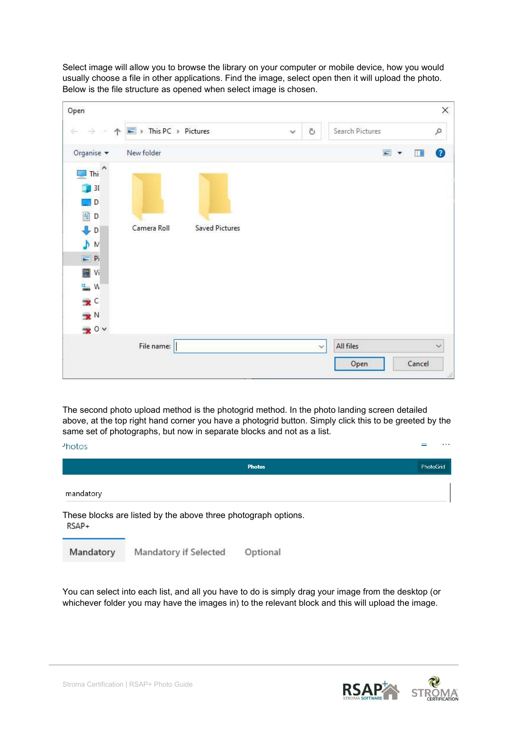Select image will allow you to browse the library on your computer or mobile device, how you would usually choose a file in other applications. Find the image, select open then it will upload the photo. Below is the file structure as opened when select image is chosen.

| Open                                    |                                                              |                       |              |    |                 | X         |
|-----------------------------------------|--------------------------------------------------------------|-----------------------|--------------|----|-----------------|-----------|
| ÷<br>个<br>→                             | $\blacktriangleright$ This PC $\blacktriangleright$ Pictures |                       | $\checkmark$ | Ö  | Search Pictures | $\varphi$ |
| Organise v                              | New folder                                                   |                       |              |    | $\Box$          | ◙<br>Щ    |
| ۸<br>Thi<br>$\mathbb{D}_{\mathbb{R}^n}$ |                                                              |                       |              |    |                 |           |
| 30                                      |                                                              |                       |              |    |                 |           |
| D                                       |                                                              |                       |              |    |                 |           |
| 图 D                                     |                                                              |                       |              |    |                 |           |
| $\downarrow$ D                          | Camera Roll                                                  | <b>Saved Pictures</b> |              |    |                 |           |
| N                                       |                                                              |                       |              |    |                 |           |
| $=$ Pi                                  |                                                              |                       |              |    |                 |           |
| N Vi                                    |                                                              |                       |              |    |                 |           |
| <b>にんの</b>                              |                                                              |                       |              |    |                 |           |
| $\mathbf{x}^{\mathsf{c}}$               |                                                              |                       |              |    |                 |           |
| $\mathbf{R}^{\mathbb{N}}$               |                                                              |                       |              |    |                 |           |
| $\mathbf{R}^0$                          |                                                              |                       |              |    |                 |           |
|                                         | File name:                                                   |                       |              | v. | All files       | €         |
|                                         |                                                              |                       |              |    | Open            | Cancel    |

The second photo upload method is the photogrid method. In the photo landing screen detailed above, at the top right hand corner you have a photogrid button. Simply click this to be greeted by the same set of photographs, but now in separate blocks and not as a list.

| <sup>2</sup> hotos |                                                                |               | $\cdots$  |
|--------------------|----------------------------------------------------------------|---------------|-----------|
|                    |                                                                | <b>Photos</b> | PhotoGrid |
| mandatory          |                                                                |               |           |
| RSAP+              | These blocks are listed by the above three photograph options. |               |           |
| Mandatory          | Mandatory if Selected                                          | Optional      |           |

You can select into each list, and all you have to do is simply drag your image from the desktop (or whichever folder you may have the images in) to the relevant block and this will upload the image.



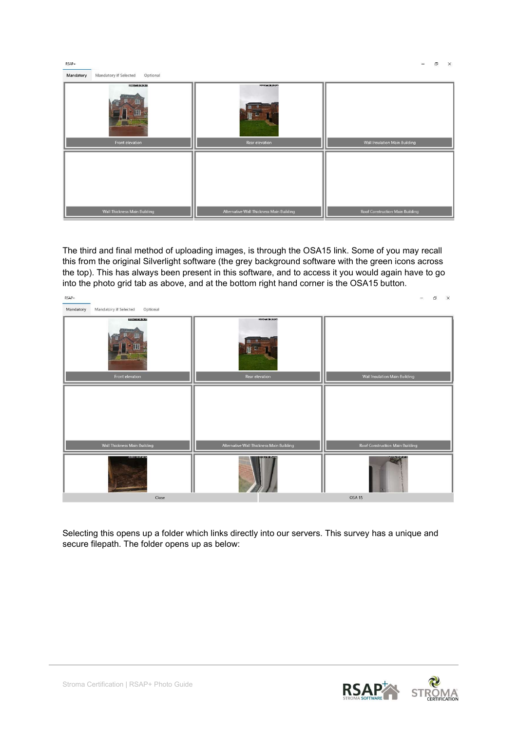| RSAP+                                          |                                          | σ<br>$\times$                   |
|------------------------------------------------|------------------------------------------|---------------------------------|
| Mandatory<br>Mandatory if Selected<br>Optional |                                          |                                 |
| 1000000000308K                                 | PRODUCED LINES                           |                                 |
| Front elevation                                | ш<br>Rear elevation                      | Wall Insulation Main Building   |
|                                                |                                          |                                 |
|                                                |                                          |                                 |
|                                                |                                          |                                 |
|                                                |                                          |                                 |
|                                                |                                          |                                 |
|                                                |                                          |                                 |
| <b>Wall Thickness Main Building</b>            | Alternative Wall Thickness Main Building | Roof Construction Main Building |

The third and final method of uploading images, is through the OSA15 link. Some of you may recall this from the original Silverlight software (the grey background software with the green icons across the top). This has always been present in this software, and to access it you would again have to go into the photo grid tab as above, and at the bottom right hand corner is the OSA15 button.



Selecting this opens up a folder which links directly into our servers. This survey has a unique and secure filepath. The folder opens up as below:

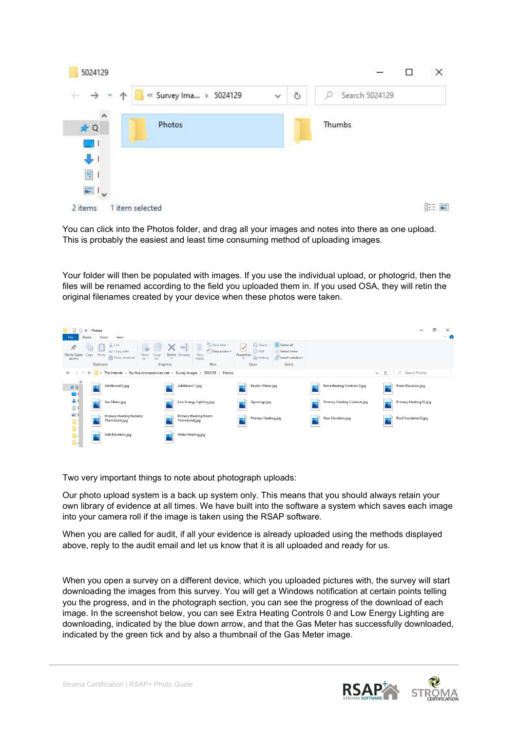| 5024129                            |                         |              |   | 22             | п | $\times$      |
|------------------------------------|-------------------------|--------------|---|----------------|---|---------------|
| $\leftarrow$ $\rightarrow$<br>- 16 | « Survey Ima  » 5024129 | $\checkmark$ | Ö | Search 5024129 |   |               |
| ٨<br>★ Q                           | Photos                  |              |   | Thumbs         |   |               |
| $\mathbb{Z}$<br>$\mathbf{J}$       |                         |              |   |                |   |               |
| 童<br>$=$ I,                        |                         |              |   |                |   |               |
| 2 items<br>1 item selected         |                         |              |   |                |   | 胆<br>$\equiv$ |

You can click into the Photos folder, and drag all your images and notes into there as one upload. This is probably the easiest and least time consuming method of uploading images.

Your folder will then be populated with images. If you use the individual upload, or photogrid, then the files will be renamed according to the field you uploaded them in. If you used OSA, they will retin the original filenames created by your device when these photos were taken.

| $\overline{\phantom{a}}$ Photos<br>Home                                 | View<br>Share                                                  |                                                    |                                                  |                               |                                       |                                        |                                                  |                              |              |   | $\Box$<br>-              | $\times$<br>$\sim$ 0 |
|-------------------------------------------------------------------------|----------------------------------------------------------------|----------------------------------------------------|--------------------------------------------------|-------------------------------|---------------------------------------|----------------------------------------|--------------------------------------------------|------------------------------|--------------|---|--------------------------|----------------------|
| ellon.<br>È<br>$\mathcal{R}$<br>Pin to Quick<br>Copy<br>Paste<br>access | of Cut<br>Me Copy path<br>Paste shortcut                       | ×<br>Move<br>Copy<br>$to -$<br>$to -$<br>$\bullet$ | $\blacksquare$<br>Delete Rename<br>New<br>folder | The New item<br>Easy access * | $\checkmark$<br>Properties<br>$\star$ | i <sub>+</sub> Open<br>Edit<br>History | Select all<br>BB Select none<br>Invert selection |                              |              |   |                          |                      |
| Clipboard                                                               |                                                                | Organise                                           |                                                  | New                           |                                       | Open                                   | Select                                           |                              |              |   |                          |                      |
| $\rightarrow$<br>$\leftarrow$<br>$\sim$                                 | > The Internet > ftp-live.stromaservices.net > Survey Images > |                                                    |                                                  | 5024129 > Photos              |                                       |                                        |                                                  |                              | $\checkmark$ | Ö | $\circ$<br>Search Photos |                      |
| $\lambda$<br>$+Q$<br><b>Sing</b>                                        | Additional 0.jpg                                               |                                                    | Additional 1.jpg                                 |                               |                                       | <b>Electric Meter.jpg</b>              |                                                  | Extra Heating Controls 0.jpg |              |   | Front Elevation.jpg      |                      |
| 中国                                                                      | Gas Meter.jpg                                                  |                                                    | Low Energy Lighting.jpg                          |                               |                                       | Openings.jpg                           |                                                  | Primary Heating Controls.jpg |              |   | Primary Heating ID.jpg   |                      |
|                                                                         | Primary Heating Radiator<br>Thermostat.jpg                     |                                                    | Primary Heating Room<br>Thermostat.jpg           |                               |                                       | Primary Heating.jpg                    |                                                  | Rear Elevation.jpg           |              |   | Roof Insulation 0.jpg    |                      |
| 風風風風<br>-0                                                              | Side Elevation.jpg                                             |                                                    | Water Heating.jpg                                |                               |                                       |                                        |                                                  |                              |              |   |                          |                      |

Two very important things to note about photograph uploads:

Our photo upload system is a back up system only. This means that you should always retain your own library of evidence at all times. We have built into the software a system which saves each image into your camera roll if the image is taken using the RSAP software.

When you are called for audit, if all your evidence is already uploaded using the methods displayed above, reply to the audit email and let us know that it is all uploaded and ready for us.

When you open a survey on a different device, which you uploaded pictures with, the survey will start downloading the images from this survey. You will get a Windows notification at certain points telling you the progress, and in the photograph section, you can see the progress of the download of each image. In the screenshot below, you can see Extra Heating Controls 0 and Low Energy Lighting are downloading, indicated by the blue down arrow, and that the Gas Meter has successfully downloaded, indicated by the green tick and by also a thumbnail of the Gas Meter image.